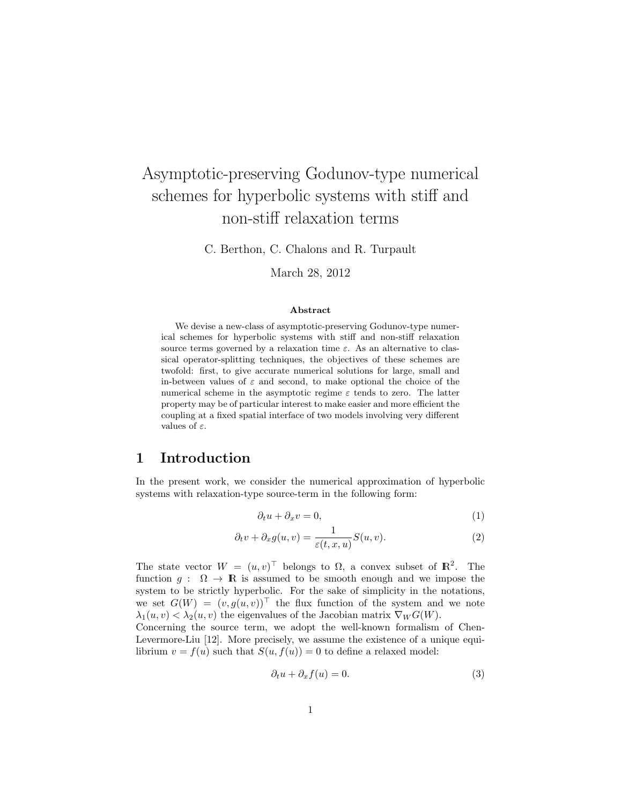# Asymptotic-preserving Godunov-type numerical schemes for hyperbolic systems with stiff and non-stiff relaxation terms

C. Berthon, C. Chalons and R. Turpault

March 28, 2012

#### Abstract

We devise a new-class of asymptotic-preserving Godunov-type numerical schemes for hyperbolic systems with stiff and non-stiff relaxation source terms governed by a relaxation time  $\varepsilon$ . As an alternative to classical operator-splitting techniques, the objectives of these schemes are twofold: first, to give accurate numerical solutions for large, small and in-between values of  $\varepsilon$  and second, to make optional the choice of the numerical scheme in the asymptotic regime  $\varepsilon$  tends to zero. The latter property may be of particular interest to make easier and more efficient the coupling at a fixed spatial interface of two models involving very different values of  $\varepsilon$ .

### 1 Introduction

In the present work, we consider the numerical approximation of hyperbolic systems with relaxation-type source-term in the following form:

$$
\partial_t u + \partial_x v = 0,\tag{1}
$$

$$
\partial_t v + \partial_x g(u, v) = \frac{1}{\varepsilon(t, x, u)} S(u, v).
$$
\n(2)

The state vector  $W = (u, v)^{\top}$  belongs to  $\Omega$ , a convex subset of  $\mathbb{R}^2$ . The function  $q : \Omega \to \mathbb{R}$  is assumed to be smooth enough and we impose the system to be strictly hyperbolic. For the sake of simplicity in the notations, we set  $G(W) = (v, g(u, v))^{\top}$  the flux function of the system and we note  $\lambda_1(u, v) < \lambda_2(u, v)$  the eigenvalues of the Jacobian matrix  $\nabla_W G(W)$ .

Concerning the source term, we adopt the well-known formalism of Chen-Levermore-Liu [12]. More precisely, we assume the existence of a unique equilibrium  $v = f(u)$  such that  $S(u, f(u)) = 0$  to define a relaxed model:

$$
\partial_t u + \partial_x f(u) = 0. \tag{3}
$$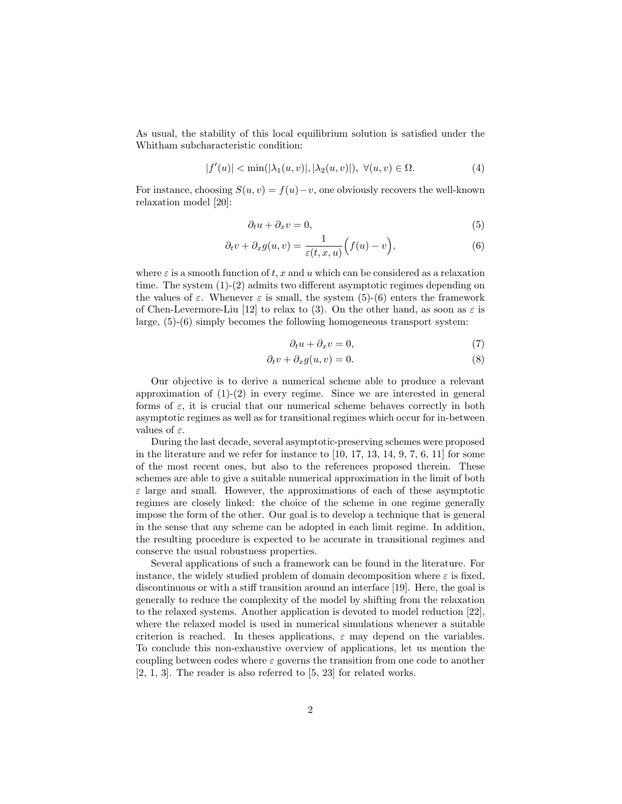As usual, the stability of this local equilibrium solution is satisfied under the Whitham subcharacteristic condition:

$$
|f'(u)| < \min(|\lambda_1(u,v)|, |\lambda_2(u,v)|), \ \forall (u,v) \in \Omega.
$$
 (4)

For instance, choosing  $S(u, v) = f(u) - v$ , one obviously recovers the well-known relaxation model [20]:

$$
\partial_t u + \partial_x v = 0,\tag{5}
$$

$$
\partial_t v + \partial_x g(u, v) = \frac{1}{\varepsilon(t, x, u)} \Big( f(u) - v \Big), \tag{6}
$$

where  $\varepsilon$  is a smooth function of t, x and u which can be considered as a relaxation time. The system (1)-(2) admits two different asymptotic regimes depending on the values of  $\varepsilon$ . Whenever  $\varepsilon$  is small, the system (5)-(6) enters the framework of Chen-Levermore-Liu [12] to relax to (3). On the other hand, as soon as  $\varepsilon$  is large, (5)-(6) simply becomes the following homogeneous transport system:

$$
\partial_t u + \partial_x v = 0,\t\t(7)
$$

$$
\partial_t v + \partial_x g(u, v) = 0. \tag{8}
$$

Our objective is to derive a numerical scheme able to produce a relevant approximation of  $(1)-(2)$  in every regime. Since we are interested in general forms of  $\varepsilon$ , it is crucial that our numerical scheme behaves correctly in both asymptotic regimes as well as for transitional regimes which occur for in-between values of  $\varepsilon$ .

During the last decade, several asymptotic-preserving schemes were proposed in the literature and we refer for instance to  $[10, 17, 13, 14, 9, 7, 6, 11]$  for some of the most recent ones, but also to the references proposed therein. These schemes are able to give a suitable numerical approximation in the limit of both  $\varepsilon$  large and small. However, the approximations of each of these asymptotic regimes are closely linked: the choice of the scheme in one regime generally impose the form of the other. Our goal is to develop a technique that is general in the sense that any scheme can be adopted in each limit regime. In addition, the resulting procedure is expected to be accurate in transitional regimes and conserve the usual robustness properties.

Several applications of such a framework can be found in the literature. For instance, the widely studied problem of domain decomposition where  $\varepsilon$  is fixed, discontinuous or with a stiff transition around an interface [19]. Here, the goal is generally to reduce the complexity of the model by shifting from the relaxation to the relaxed systems. Another application is devoted to model reduction [22], where the relaxed model is used in numerical simulations whenever a suitable criterion is reached. In theses applications,  $\varepsilon$  may depend on the variables. To conclude this non-exhaustive overview of applications, let us mention the coupling between codes where  $\varepsilon$  governs the transition from one code to another [2, 1, 3]. The reader is also referred to [5, 23] for related works.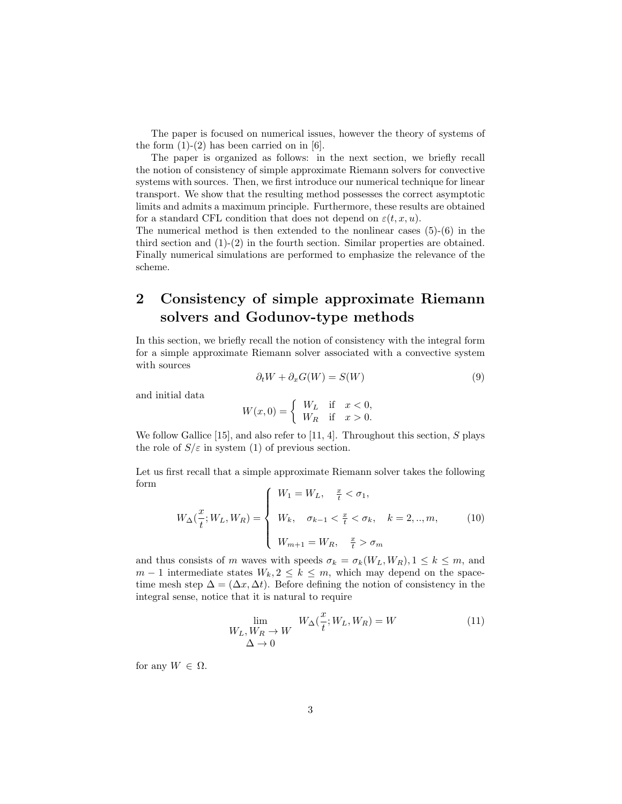The paper is focused on numerical issues, however the theory of systems of the form  $(1)-(2)$  has been carried on in [6].

The paper is organized as follows: in the next section, we briefly recall the notion of consistency of simple approximate Riemann solvers for convective systems with sources. Then, we first introduce our numerical technique for linear transport. We show that the resulting method possesses the correct asymptotic limits and admits a maximum principle. Furthermore, these results are obtained for a standard CFL condition that does not depend on  $\varepsilon(t, x, u)$ .

The numerical method is then extended to the nonlinear cases  $(5)-(6)$  in the third section and  $(1)-(2)$  in the fourth section. Similar properties are obtained. Finally numerical simulations are performed to emphasize the relevance of the scheme.

## 2 Consistency of simple approximate Riemann solvers and Godunov-type methods

In this section, we briefly recall the notion of consistency with the integral form for a simple approximate Riemann solver associated with a convective system with sources

$$
\partial_t W + \partial_x G(W) = S(W) \tag{9}
$$

and initial data

$$
W(x,0) = \begin{cases} W_L & \text{if } x < 0, \\ W_R & \text{if } x > 0. \end{cases}
$$

We follow Gallice [15], and also refer to [11, 4]. Throughout this section,  $S$  plays the role of  $S/\varepsilon$  in system (1) of previous section.

Let us first recall that a simple approximate Riemann solver takes the following form  $\epsilon$  and  $\overline{x}$ 

$$
W_{\Delta}(\frac{x}{t}; W_L, W_R) = \begin{cases} W_1 = W_L, & \frac{x}{t} < \sigma_1, \\ W_k, & \sigma_{k-1} < \frac{x}{t} < \sigma_k, \quad k = 2, ..., m, \\ W_{m+1} = W_R, & \frac{x}{t} > \sigma_m \end{cases}
$$
(10)

and thus consists of m waves with speeds  $\sigma_k = \sigma_k(W_L, W_R), 1 \leq k \leq m$ , and  $m-1$  intermediate states  $W_k, 2 \leq k \leq m$ , which may depend on the spacetime mesh step  $\Delta = (\Delta x, \Delta t)$ . Before defining the notion of consistency in the integral sense, notice that it is natural to require

$$
\lim_{\substack{W_L, W_R \to W \\ \Delta \to 0}} W_{\Delta}(\frac{x}{t}; W_L, W_R) = W \tag{11}
$$

for any  $W \in \Omega$ .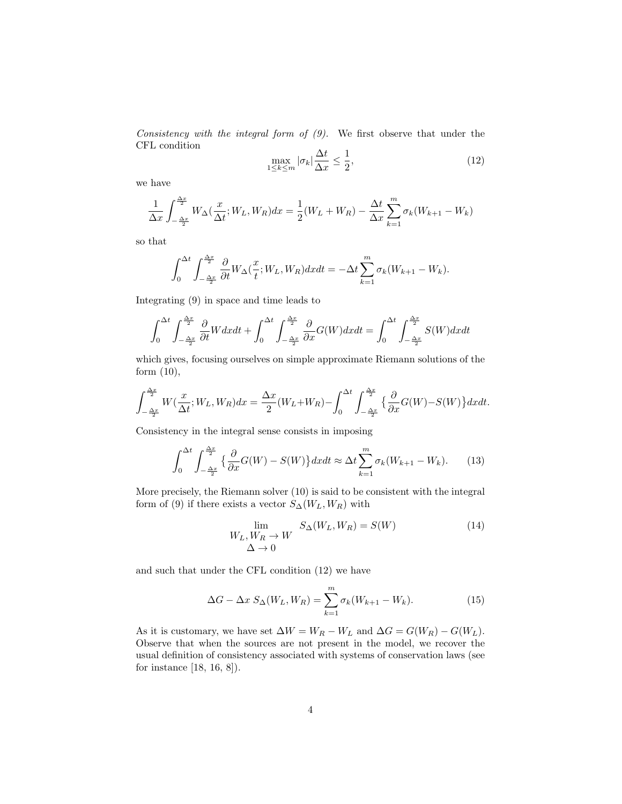Consistency with the integral form of  $(9)$ . We first observe that under the CFL condition

$$
\max_{1 \le k \le m} |\sigma_k| \frac{\Delta t}{\Delta x} \le \frac{1}{2},\tag{12}
$$

we have

$$
\frac{1}{\Delta x} \int_{-\frac{\Delta x}{2}}^{\frac{\Delta x}{2}} W_{\Delta}(\frac{x}{\Delta t}; W_L, W_R) dx = \frac{1}{2}(W_L + W_R) - \frac{\Delta t}{\Delta x} \sum_{k=1}^{m} \sigma_k (W_{k+1} - W_k)
$$

so that

$$
\int_0^{\Delta t} \int_{-\frac{\Delta x}{2}}^{\frac{\Delta x}{2}} \frac{\partial}{\partial t} W_{\Delta}(\frac{x}{t}; W_L, W_R) dx dt = -\Delta t \sum_{k=1}^m \sigma_k (W_{k+1} - W_k).
$$

Integrating (9) in space and time leads to

$$
\int_0^{\Delta t} \int_{-\frac{\Delta x}{2}}^{\frac{\Delta x}{2}} \frac{\partial}{\partial t} W dx dt + \int_0^{\Delta t} \int_{-\frac{\Delta x}{2}}^{\frac{\Delta x}{2}} \frac{\partial}{\partial x} G(W) dx dt = \int_0^{\Delta t} \int_{-\frac{\Delta x}{2}}^{\frac{\Delta x}{2}} S(W) dx dt
$$

which gives, focusing ourselves on simple approximate Riemann solutions of the form (10),

$$
\int_{-\frac{\Delta x}{2}}^{\frac{\Delta x}{2}} W(\frac{x}{\Delta t}; W_L, W_R) dx = \frac{\Delta x}{2} (W_L + W_R) - \int_0^{\Delta t} \int_{-\frac{\Delta x}{2}}^{\frac{\Delta x}{2}} {\frac{\partial}{\partial x}} G(W) - S(W) \} dx dt.
$$

Consistency in the integral sense consists in imposing

$$
\int_0^{\Delta t} \int_{-\frac{\Delta x}{2}}^{\frac{\Delta x}{2}} \left\{ \frac{\partial}{\partial x} G(W) - S(W) \right\} dx dt \approx \Delta t \sum_{k=1}^m \sigma_k (W_{k+1} - W_k). \tag{13}
$$

More precisely, the Riemann solver (10) is said to be consistent with the integral form of (9) if there exists a vector  $S_{\Delta}(W_L, W_R)$  with

$$
\lim_{\begin{array}{c}\n\Lambda \to 0 \\
\Delta \to 0\n\end{array}} S_{\Delta}(W_L, W_R) = S(W) \tag{14}
$$

and such that under the CFL condition (12) we have

$$
\Delta G - \Delta x \ S_{\Delta}(W_L, W_R) = \sum_{k=1}^{m} \sigma_k (W_{k+1} - W_k).
$$
 (15)

As it is customary, we have set  $\Delta W = W_R - W_L$  and  $\Delta G = G(W_R) - G(W_L)$ . Observe that when the sources are not present in the model, we recover the usual definition of consistency associated with systems of conservation laws (see for instance [18, 16, 8]).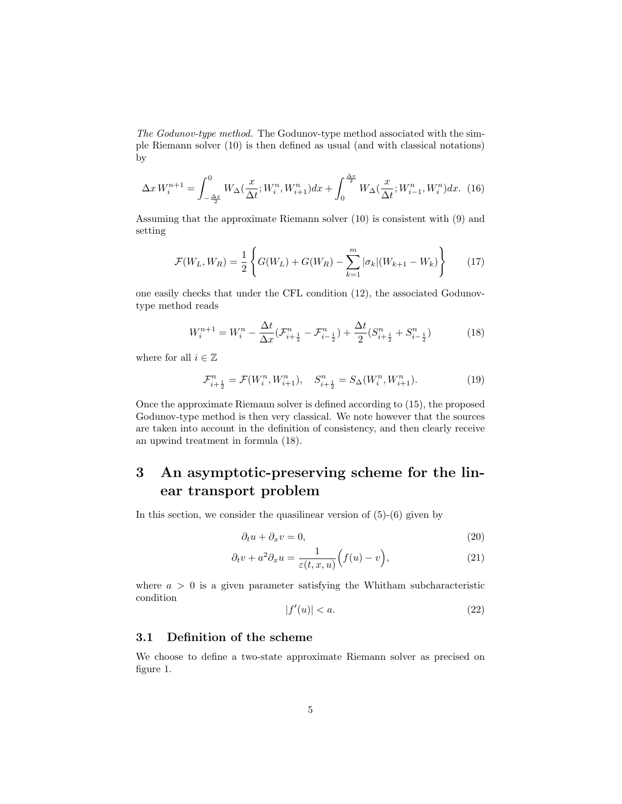The Godunov-type method. The Godunov-type method associated with the simple Riemann solver (10) is then defined as usual (and with classical notations) by

$$
\Delta x W_i^{n+1} = \int_{-\frac{\Delta x}{2}}^0 W_\Delta(\frac{x}{\Delta t}; W_i^n, W_{i+1}^n) dx + \int_0^{\frac{\Delta x}{2}} W_\Delta(\frac{x}{\Delta t}; W_{i-1}^n, W_i^n) dx. (16)
$$

Assuming that the approximate Riemann solver (10) is consistent with (9) and setting

$$
\mathcal{F}(W_L, W_R) = \frac{1}{2} \left\{ G(W_L) + G(W_R) - \sum_{k=1}^m |\sigma_k| (W_{k+1} - W_k) \right\}
$$
(17)

one easily checks that under the CFL condition (12), the associated Godunovtype method reads

$$
W_i^{n+1} = W_i^n - \frac{\Delta t}{\Delta x} (\mathcal{F}_{i+\frac{1}{2}}^n - \mathcal{F}_{i-\frac{1}{2}}^n) + \frac{\Delta t}{2} (S_{i+\frac{1}{2}}^n + S_{i-\frac{1}{2}}^n)
$$
(18)

where for all  $i\in\mathbb{Z}$ 

$$
\mathcal{F}_{i+\frac{1}{2}}^{n} = \mathcal{F}(W_i^n, W_{i+1}^n), \quad S_{i+\frac{1}{2}}^{n} = S_\Delta(W_i^n, W_{i+1}^n). \tag{19}
$$

Once the approximate Riemann solver is defined according to (15), the proposed Godunov-type method is then very classical. We note however that the sources are taken into account in the definition of consistency, and then clearly receive an upwind treatment in formula (18).

# 3 An asymptotic-preserving scheme for the linear transport problem

In this section, we consider the quasilinear version of  $(5)-(6)$  given by

$$
\partial_t u + \partial_x v = 0,\tag{20}
$$

$$
\partial_t v + a^2 \partial_x u = \frac{1}{\varepsilon(t, x, u)} \Big( f(u) - v \Big), \tag{21}
$$

where  $a > 0$  is a given parameter satisfying the Whitham subcharacteristic condition

$$
|f'(u)| < a. \tag{22}
$$

### 3.1 Definition of the scheme

We choose to define a two-state approximate Riemann solver as precised on figure 1.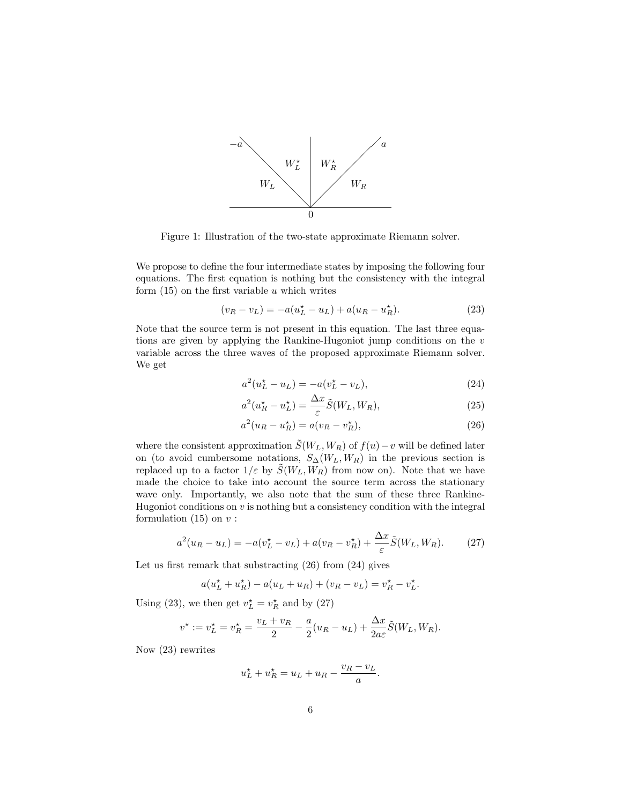

Figure 1: Illustration of the two-state approximate Riemann solver.

We propose to define the four intermediate states by imposing the following four equations. The first equation is nothing but the consistency with the integral form  $(15)$  on the first variable u which writes

$$
(v_R - v_L) = -a(u_L^* - u_L) + a(u_R - u_R^*).
$$
 (23)

Note that the source term is not present in this equation. The last three equations are given by applying the Rankine-Hugoniot jump conditions on the v variable across the three waves of the proposed approximate Riemann solver. We get

$$
a^{2}(u_{L}^{\star} - u_{L}) = -a(v_{L}^{\star} - v_{L}), \qquad (24)
$$

$$
a^2(u_R^* - u_L^*) = \frac{\Delta x}{\varepsilon} \tilde{S}(W_L, W_R),\tag{25}
$$

$$
a^2(u_R - u_R^*) = a(v_R - v_R^*),
$$
\n(26)

where the consistent approximation  $\tilde{S}(W_L, W_R)$  of  $f(u)-v$  will be defined later on (to avoid cumbersome notations,  $S_{\Delta}(W_L, W_R)$  in the previous section is replaced up to a factor  $1/\varepsilon$  by  $\tilde{S}(W_L, W_R)$  from now on). Note that we have made the choice to take into account the source term across the stationary wave only. Importantly, we also note that the sum of these three Rankine-Hugoniot conditions on  $v$  is nothing but a consistency condition with the integral formulation  $(15)$  on  $v$  :

$$
a^2(u_R - u_L) = -a(v_L^* - v_L) + a(v_R - v_R^*) + \frac{\Delta x}{\varepsilon} \tilde{S}(W_L, W_R). \tag{27}
$$

Let us first remark that substracting (26) from (24) gives

$$
a(u_L^* + u_R^*) - a(u_L + u_R) + (v_R - v_L) = v_R^* - v_L^*.
$$

Using (23), we then get  $v_L^* = v_R^*$  and by (27)

$$
v^\star:=v_L^\star=v_R^\star=\frac{v_L+v_R}{2}-\frac{a}{2}(u_R-u_L)+\frac{\Delta x}{2a\varepsilon}\tilde{S}(W_L,W_R).
$$

Now (23) rewrites

$$
u_L^{\star} + u_R^{\star} = u_L + u_R - \frac{v_R - v_L}{a}.
$$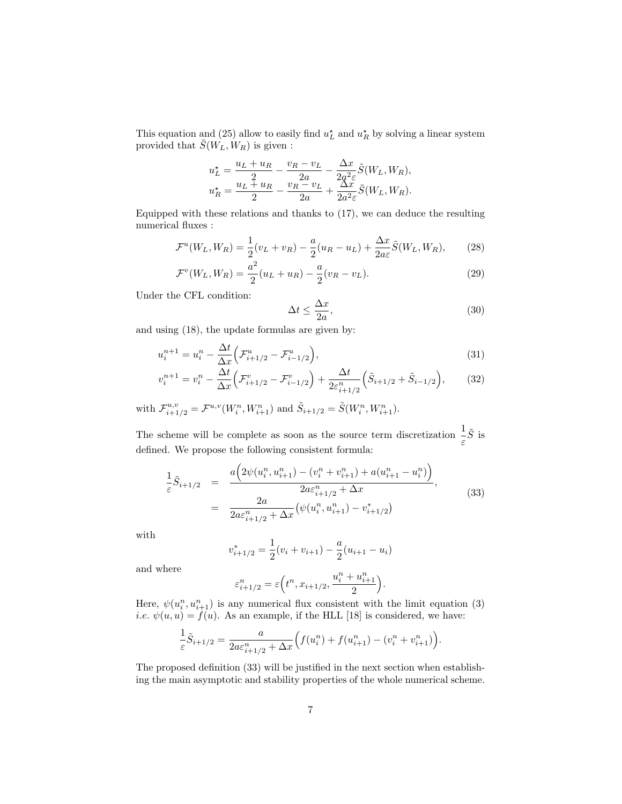This equation and (25) allow to easily find  $u_L^*$  and  $u_R^*$  by solving a linear system provided that  $\tilde{S}(W_L, W_R)$  is given:

$$
u_L^* = \frac{u_L + u_R}{2} - \frac{v_R - v_L}{2a} - \frac{\Delta x}{2a^2 \varepsilon} \tilde{S}(W_L, W_R),
$$
  

$$
u_R^* = \frac{u_L + u_R}{2} - \frac{v_R - v_L}{2a} + \frac{\Delta x}{2a^2 \varepsilon} \tilde{S}(W_L, W_R).
$$

Equipped with these relations and thanks to (17), we can deduce the resulting numerical fluxes :

$$
\mathcal{F}^u(W_L, W_R) = \frac{1}{2}(v_L + v_R) - \frac{a}{2}(u_R - u_L) + \frac{\Delta x}{2a\varepsilon}\tilde{S}(W_L, W_R),\tag{28}
$$

$$
\mathcal{F}^v(W_L, W_R) = \frac{a^2}{2}(u_L + u_R) - \frac{a}{2}(v_R - v_L). \tag{29}
$$

Under the CFL condition:

$$
\Delta t \le \frac{\Delta x}{2a},\tag{30}
$$

and using (18), the update formulas are given by:

 $\overline{ }$ 

$$
u_i^{n+1} = u_i^n - \frac{\Delta t}{\Delta x} \Big( \mathcal{F}_{i+1/2}^u - \mathcal{F}_{i-1/2}^u \Big),\tag{31}
$$

$$
v_i^{n+1} = v_i^n - \frac{\Delta t}{\Delta x} \Big( \mathcal{F}_{i+1/2}^v - \mathcal{F}_{i-1/2}^v \Big) + \frac{\Delta t}{2\varepsilon_{i+1/2}^n} \Big( \tilde{S}_{i+1/2} + \tilde{S}_{i-1/2} \Big), \tag{32}
$$

with 
$$
\mathcal{F}_{i+1/2}^{u,v} = \mathcal{F}^{u,v}(W_i^n, W_{i+1}^n)
$$
 and  $\tilde{S}_{i+1/2} = \tilde{S}(W_i^n, W_{i+1}^n)$ .

The scheme will be complete as soon as the source term discretization  $\frac{1}{\varepsilon} \tilde{S}$  is defined. We propose the following consistent formula:

$$
\frac{1}{\varepsilon}\tilde{S}_{i+1/2} = \frac{a\left(2\psi(u_i^n, u_{i+1}^n) - (v_i^n + v_{i+1}^n) + a(u_{i+1}^n - u_i^n)\right)}{2a\varepsilon_{i+1/2}^n + \Delta x},
$$
\n
$$
= \frac{2a}{2a\varepsilon_{i+1/2}^n + \Delta x} \left(\psi(u_i^n, u_{i+1}^n) - v_{i+1/2}^*\right),
$$
\n(33)

with

$$
v_{i+1/2}^{*} = \frac{1}{2}(v_i + v_{i+1}) - \frac{a}{2}(u_{i+1} - u_i)
$$

and where

$$
\varepsilon^n_{i+1/2}=\varepsilon\Big(t^n,x_{i+1/2},\frac{u^n_i+u^n_{i+1}}{2}\Big).
$$

Here,  $\psi(u_i^n, u_{i+1}^n)$  is any numerical flux consistent with the limit equation (3) *i.e.*  $\psi(u, u) = f(u)$ . As an example, if the HLL [18] is considered, we have:

$$
\frac{1}{\varepsilon}\tilde{S}_{i+1/2} = \frac{a}{2a\varepsilon_{i+1/2}^n + \Delta x} \Big( f(u_i^n) + f(u_{i+1}^n) - (v_i^n + v_{i+1}^n) \Big).
$$

The proposed definition (33) will be justified in the next section when establishing the main asymptotic and stability properties of the whole numerical scheme.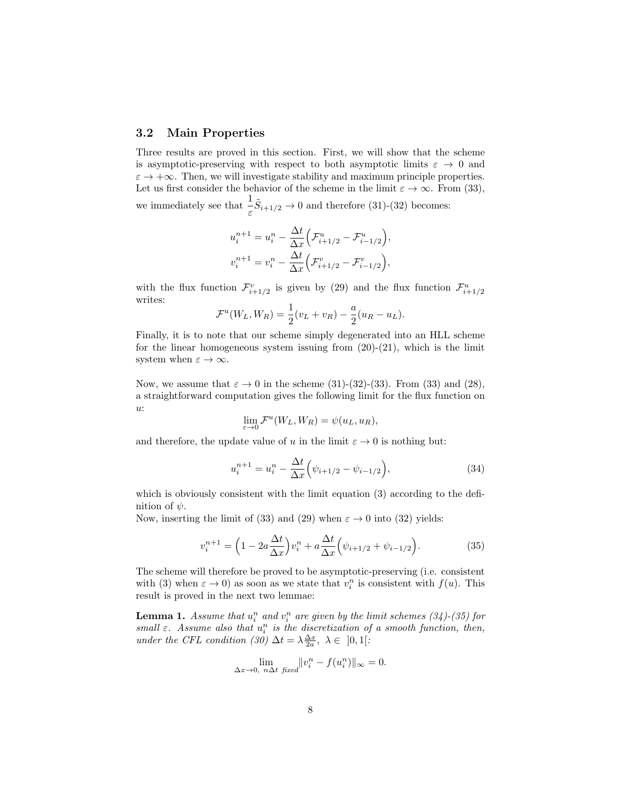### 3.2 Main Properties

Three results are proved in this section. First, we will show that the scheme is asymptotic-preserving with respect to both asymptotic limits  $\varepsilon \to 0$  and  $\varepsilon \to +\infty$ . Then, we will investigate stability and maximum principle properties. Let us first consider the behavior of the scheme in the limit  $\varepsilon \to \infty$ . From (33), we immediately see that  $\frac{1}{\varepsilon} \tilde{S}_{i+1/2} \to 0$  and therefore (31)-(32) becomes:

$$
u_i^{n+1} = u_i^n - \frac{\Delta t}{\Delta x} \Big( \mathcal{F}_{i+1/2}^u - \mathcal{F}_{i-1/2}^u \Big),
$$
  

$$
v_i^{n+1} = v_i^n - \frac{\Delta t}{\Delta x} \Big( \mathcal{F}_{i+1/2}^v - \mathcal{F}_{i-1/2}^v \Big),
$$

with the flux function  $\mathcal{F}_{i+1/2}^v$  is given by (29) and the flux function  $\mathcal{F}_{i+1/2}^u$ writes:

$$
\mathcal{F}^u(W_L, W_R) = \frac{1}{2}(v_L + v_R) - \frac{a}{2}(u_R - u_L).
$$

Finally, it is to note that our scheme simply degenerated into an HLL scheme for the linear homogeneous system issuing from  $(20)-(21)$ , which is the limit system when  $\varepsilon \to \infty$ .

Now, we assume that  $\varepsilon \to 0$  in the scheme (31)-(32)-(33). From (33) and (28), a straightforward computation gives the following limit for the flux function on  $u$ :

$$
\lim_{\varepsilon \to 0} \mathcal{F}^u(W_L, W_R) = \psi(u_L, u_R),
$$

and therefore, the update value of u in the limit  $\varepsilon \to 0$  is nothing but:

$$
u_i^{n+1} = u_i^n - \frac{\Delta t}{\Delta x} \left( \psi_{i+1/2} - \psi_{i-1/2} \right),\tag{34}
$$

which is obviously consistent with the limit equation (3) according to the definition of  $\psi$ .

Now, inserting the limit of (33) and (29) when  $\varepsilon \to 0$  into (32) yields:

$$
v_i^{n+1} = \left(1 - 2a\frac{\Delta t}{\Delta x}\right)v_i^n + a\frac{\Delta t}{\Delta x}\left(\psi_{i+1/2} + \psi_{i-1/2}\right).
$$
 (35)

The scheme will therefore be proved to be asymptotic-preserving (i.e. consistent with (3) when  $\varepsilon \to 0$ ) as soon as we state that  $v_i^n$  is consistent with  $f(u)$ . This result is proved in the next two lemmae:

**Lemma 1.** Assume that  $u_i^n$  and  $v_i^n$  are given by the limit schemes (34)-(35) for small  $\varepsilon$ . Assume also that  $u_i^n$  is the discretization of a smooth function, then, under the CFL condition (30)  $\Delta t = \lambda \frac{\Delta x}{2a}, \lambda \in [0,1[$ :

$$
\lim_{\Delta x \to 0, n\Delta t \text{ fixed}} ||v_i^n - f(u_i^n)||_{\infty} = 0.
$$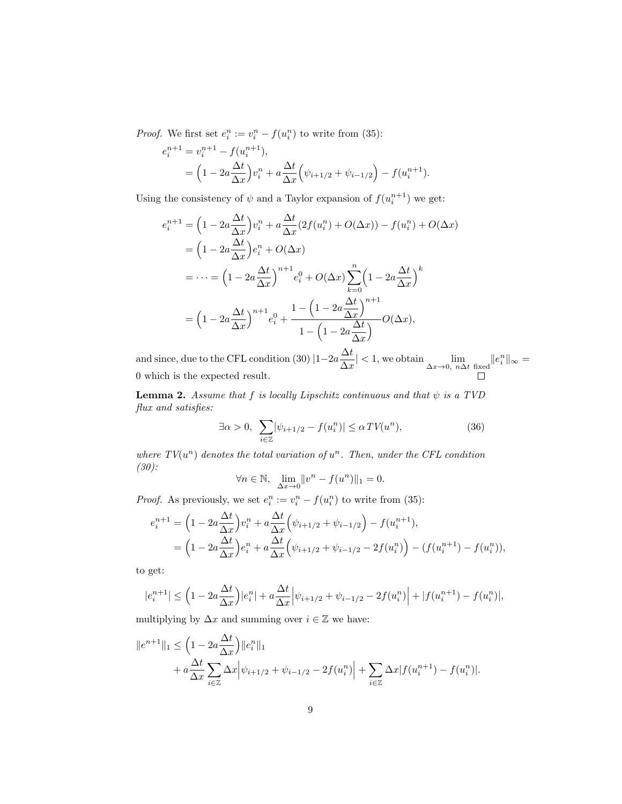*Proof.* We first set  $e_i^n := v_i^n - f(u_i^n)$  to write from (35):

$$
e_i^{n+1} = v_i^{n+1} - f(u_i^{n+1}),
$$
  
=  $\left(1 - 2a \frac{\Delta t}{\Delta x}\right) v_i^n + a \frac{\Delta t}{\Delta x} \left(\psi_{i+1/2} + \psi_{i-1/2}\right) - f(u_i^{n+1}).$ 

Using the consistency of  $\psi$  and a Taylor expansion of  $f(u_i^{n+1})$  we get:

$$
e_i^{n+1} = \left(1 - 2a\frac{\Delta t}{\Delta x}\right)v_i^n + a\frac{\Delta t}{\Delta x}(2f(u_i^n) + O(\Delta x)) - f(u_i^n) + O(\Delta x)
$$
  
\n
$$
= \left(1 - 2a\frac{\Delta t}{\Delta x}\right)e_i^n + O(\Delta x)
$$
  
\n
$$
= \dots = \left(1 - 2a\frac{\Delta t}{\Delta x}\right)^{n+1}e_i^0 + O(\Delta x)\sum_{k=0}^n\left(1 - 2a\frac{\Delta t}{\Delta x}\right)^k
$$
  
\n
$$
= \left(1 - 2a\frac{\Delta t}{\Delta x}\right)^{n+1}e_i^0 + \frac{1 - \left(1 - 2a\frac{\Delta t}{\Delta x}\right)^{n+1}}{1 - \left(1 - 2a\frac{\Delta t}{\Delta x}\right)}O(\Delta x),
$$

and since, due to the CFL condition (30)  $|1-2a\frac{\Delta t}{\Delta t}$  $\frac{\Delta v}{\Delta x}| < 1$ , we obtain  $\lim_{\Delta x \to 0, n \Delta t \text{ fixed}} ||e_i^n||_{\infty} =$ 0 which is the expected result.

**Lemma 2.** Assume that f is locally Lipschitz continuous and that  $\psi$  is a TVD flux and satisfies:

$$
\exists \alpha > 0, \ \sum_{i \in \mathbb{Z}} |\psi_{i+1/2} - f(u_i^n)| \leq \alpha \, TV(u^n), \tag{36}
$$

where  $TV(u^n)$  denotes the total variation of  $u^n$ . Then, under the CFL condition (30):

$$
\forall n \in \mathbb{N}, \ \lim_{\Delta x \to 0} \|v^n - f(u^n)\|_1 = 0.
$$

*Proof.* As previously, we set  $e_i^n := v_i^n - f(u_i^n)$  to write from (35):

$$
e_i^{n+1} = \left(1 - 2a \frac{\Delta t}{\Delta x}\right) v_i^n + a \frac{\Delta t}{\Delta x} \left(\psi_{i+1/2} + \psi_{i-1/2}\right) - f(u_i^{n+1}),
$$
  
=  $\left(1 - 2a \frac{\Delta t}{\Delta x}\right) e_i^n + a \frac{\Delta t}{\Delta x} \left(\psi_{i+1/2} + \psi_{i-1/2} - 2f(u_i^n)\right) - (f(u_i^{n+1}) - f(u_i^n)),$ 

to get:

$$
|e_i^{n+1}| \le \left(1 - 2a\frac{\Delta t}{\Delta x}\right)|e_i^n| + a\frac{\Delta t}{\Delta x} \left|\psi_{i+1/2} + \psi_{i-1/2} - 2f(u_i^n)\right| + |f(u_i^{n+1}) - f(u_i^n)|,
$$

multiplying by  $\Delta x$  and summing over  $i \in \mathbb{Z}$  we have:

$$
||e^{n+1}||_1 \leq \left(1 - 2a\frac{\Delta t}{\Delta x}\right)||e_i^n||_1
$$
  
+  $a\frac{\Delta t}{\Delta x}\sum_{i\in\mathbb{Z}}\Delta x\left|\psi_{i+1/2} + \psi_{i-1/2} - 2f(u_i^n)\right| + \sum_{i\in\mathbb{Z}}\Delta x|f(u_i^{n+1}) - f(u_i^n)|.$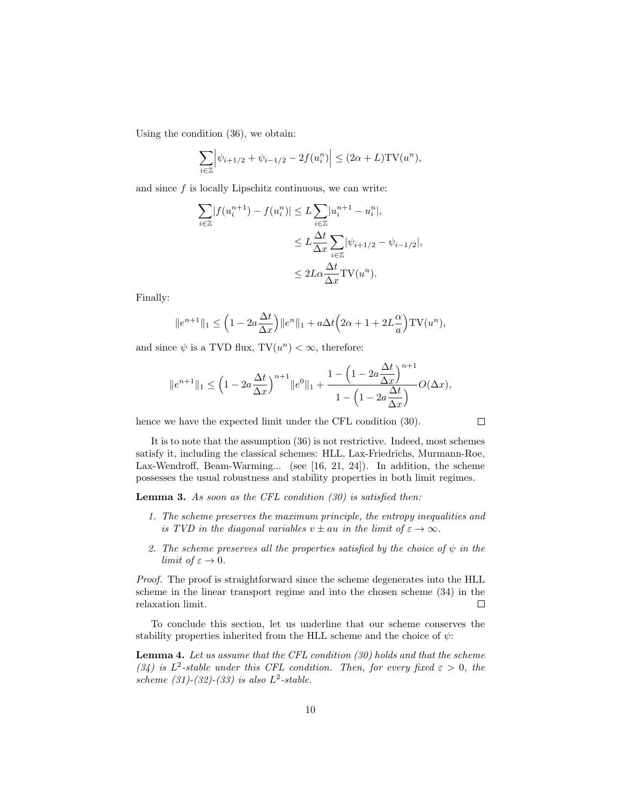Using the condition (36), we obtain:

$$
\sum_{i \in \mathbb{Z}} \left| \psi_{i+1/2} + \psi_{i-1/2} - 2f(u_i^n) \right| \le (2\alpha + L) \text{TV}(u^n),
$$

and since  $f$  is locally Lipschitz continuous, we can write:

$$
\sum_{i \in \mathbb{Z}} |f(u_i^{n+1}) - f(u_i^n)| \le L \sum_{i \in \mathbb{Z}} |u_i^{n+1} - u_i^n|,
$$
  

$$
\le L \frac{\Delta t}{\Delta x} \sum_{i \in \mathbb{Z}} |\psi_{i+1/2} - \psi_{i-1/2}|,
$$
  

$$
\le 2L \alpha \frac{\Delta t}{\Delta x} \text{TV}(u^n).
$$

Finally:

$$
||e^{n+1}||_1 \le \left(1 - 2a\frac{\Delta t}{\Delta x}\right) ||e^n||_1 + a\Delta t \left(2\alpha + 1 + 2L\frac{\alpha}{a}\right) \text{TV}(u^n),
$$

and since  $\psi$  is a TVD flux, TV $(u^n) < \infty$ , therefore:

$$
||e^{n+1}||_1 \le \left(1 - 2a\frac{\Delta t}{\Delta x}\right)^{n+1} ||e^0||_1 + \frac{1 - \left(1 - 2a\frac{\Delta t}{\Delta x}\right)^{n+1}}{1 - \left(1 - 2a\frac{\Delta t}{\Delta x}\right)} O(\Delta x),
$$

hence we have the expected limit under the CFL condition (30).

 $\Box$ 

It is to note that the assumption (36) is not restrictive. Indeed, most schemes satisfy it, including the classical schemes: HLL, Lax-Friedrichs, Murmann-Roe, Lax-Wendroff, Beam-Warming... (see [16, 21, 24]). In addition, the scheme possesses the usual robustness and stability properties in both limit regimes.

**Lemma 3.** As soon as the CFL condition  $(30)$  is satisfied then:

- 1. The scheme preserves the maximum principle, the entropy inequalities and is TVD in the diagonal variables  $v \pm au$  in the limit of  $\varepsilon \to \infty$ .
- 2. The scheme preserves all the properties satisfied by the choice of  $\psi$  in the limit of  $\varepsilon \to 0$ .

Proof. The proof is straightforward since the scheme degenerates into the HLL scheme in the linear transport regime and into the chosen scheme (34) in the relaxation limit.  $\Box$ 

To conclude this section, let us underline that our scheme conserves the stability properties inherited from the HLL scheme and the choice of  $\psi$ :

Lemma 4. Let us assume that the CFL condition (30) holds and that the scheme (34) is  $L^2$ -stable under this CFL condition. Then, for every fixed  $\varepsilon > 0$ , the scheme  $(31)$ - $(32)$ - $(33)$  is also  $L^2$ -stable.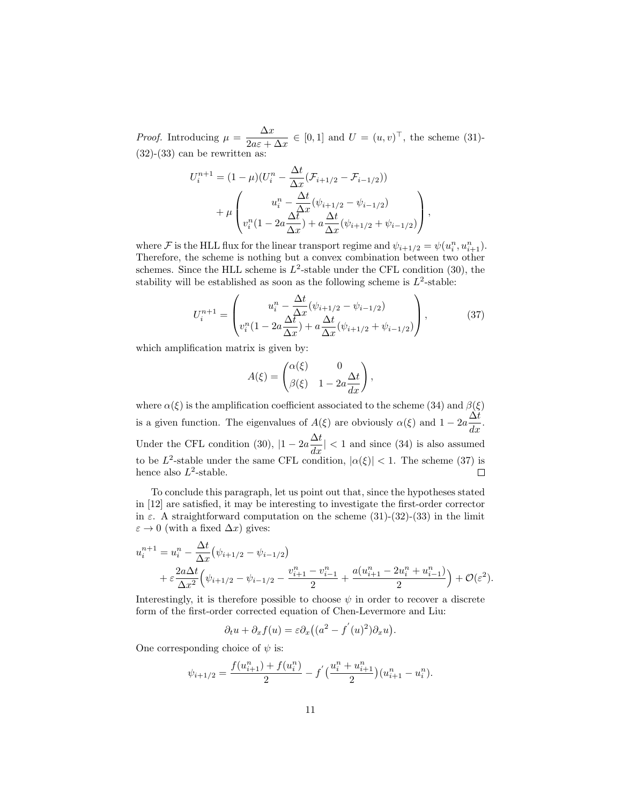*Proof.* Introducing  $\mu = \frac{\Delta x}{2}$  $\frac{\Delta x}{2a\varepsilon + \Delta x} \in [0,1]$  and  $U = (u,v)^\top$ , the scheme (31)- $(32)-(33)$  can be rewritten as:

$$
U_i^{n+1} = (1 - \mu)(U_i^n - \frac{\Delta t}{\Delta x}(\mathcal{F}_{i+1/2} - \mathcal{F}_{i-1/2}))
$$
  
+ 
$$
\mu \begin{pmatrix} u_i^n - \frac{\Delta t}{\Delta x}(\psi_{i+1/2} - \psi_{i-1/2}) \\ v_i^n(1 - 2a\frac{\Delta t}{\Delta x}) + a\frac{\Delta t}{\Delta x}(\psi_{i+1/2} + \psi_{i-1/2}) \end{pmatrix},
$$

where  $\mathcal F$  is the HLL flux for the linear transport regime and  $\psi_{i+1/2} = \psi(u_i^n, u_{i+1}^n)$ . Therefore, the scheme is nothing but a convex combination between two other schemes. Since the HLL scheme is  $L^2$ -stable under the CFL condition (30), the stability will be established as soon as the following scheme is  $L^2$ -stable:

$$
U_i^{n+1} = \begin{pmatrix} u_i^n - \frac{\Delta t}{\Delta x} (\psi_{i+1/2} - \psi_{i-1/2}) \\ v_i^n (1 - 2a \frac{\Delta t}{\Delta x}) + a \frac{\Delta t}{\Delta x} (\psi_{i+1/2} + \psi_{i-1/2}) \end{pmatrix},
$$
(37)

which amplification matrix is given by:

$$
A(\xi) = \begin{pmatrix} \alpha(\xi) & 0 \\ \beta(\xi) & 1 - 2a \frac{\Delta t}{dx} \end{pmatrix},
$$

where  $\alpha(\xi)$  is the amplification coefficient associated to the scheme (34) and  $\beta(\xi)$ is a given function. The eigenvalues of  $A(\xi)$  are obviously  $\alpha(\xi)$  and  $1 - 2a \frac{\Delta t}{dx}$ . Under the CFL condition (30),  $|1 - 2a \frac{\Delta t}{dx}| < 1$  and since (34) is also assumed to be  $L^2$ -stable under the same CFL condition,  $|\alpha(\xi)| < 1$ . The scheme (37) is hence also  $L^2$ -stable.  $\Box$ 

To conclude this paragraph, let us point out that, since the hypotheses stated in [12] are satisfied, it may be interesting to investigate the first-order corrector in  $\varepsilon$ . A straightforward computation on the scheme (31)-(32)-(33) in the limit  $\varepsilon \to 0$  (with a fixed  $\Delta x$ ) gives:

$$
u_i^{n+1} = u_i^n - \frac{\Delta t}{\Delta x} (\psi_{i+1/2} - \psi_{i-1/2})
$$
  
+  $\varepsilon \frac{2a\Delta t}{\Delta x^2} (\psi_{i+1/2} - \psi_{i-1/2} - \frac{v_{i+1}^n - v_{i-1}^n}{2} + \frac{a(u_{i+1}^n - 2u_i^n + u_{i-1}^n)}{2}) + \mathcal{O}(\varepsilon^2).$ 

Interestingly, it is therefore possible to choose  $\psi$  in order to recover a discrete form of the first-order corrected equation of Chen-Levermore and Liu:

$$
\partial_t u + \partial_x f(u) = \varepsilon \partial_x ((a^2 - f'(u))^2) \partial_x u).
$$

One corresponding choice of  $\psi$  is:

$$
\psi_{i+1/2} = \frac{f(u_{i+1}^n) + f(u_i^n)}{2} - f'\left(\frac{u_i^n + u_{i+1}^n}{2}\right)(u_{i+1}^n - u_i^n).
$$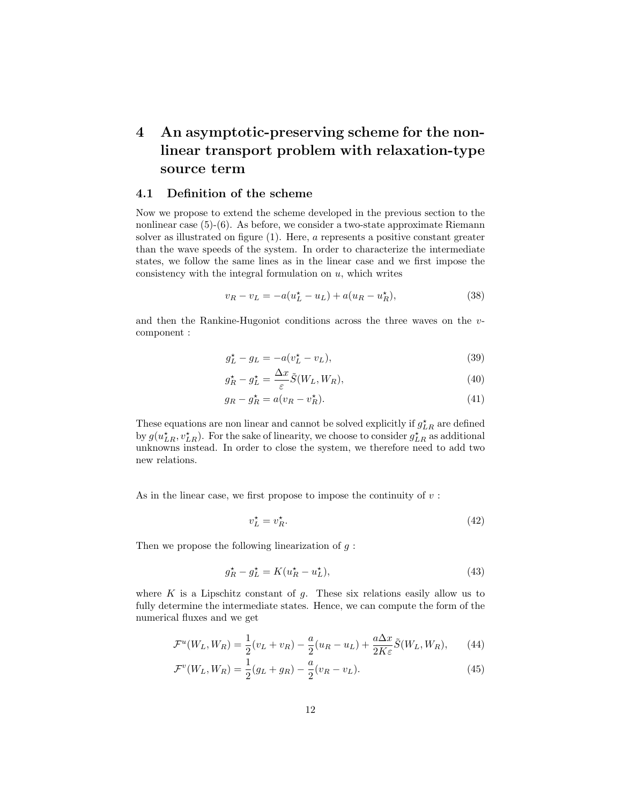# 4 An asymptotic-preserving scheme for the nonlinear transport problem with relaxation-type source term

#### 4.1 Definition of the scheme

Now we propose to extend the scheme developed in the previous section to the nonlinear case (5)-(6). As before, we consider a two-state approximate Riemann solver as illustrated on figure (1). Here, a represents a positive constant greater than the wave speeds of the system. In order to characterize the intermediate states, we follow the same lines as in the linear case and we first impose the consistency with the integral formulation on  $u$ , which writes

$$
v_R - v_L = -a(u_L^* - u_L) + a(u_R - u_R^*),
$$
\n(38)

and then the Rankine-Hugoniot conditions across the three waves on the vcomponent :

$$
g_L^{\star} - g_L = -a(v_L^{\star} - v_L),\tag{39}
$$

$$
g_R^* - g_L^* = \frac{\Delta x}{\varepsilon} \tilde{S}(W_L, W_R),\tag{40}
$$

$$
g_R - g_R^* = a(v_R - v_R^*). \tag{41}
$$

These equations are non linear and cannot be solved explicitly if  $g_{LR}^{\star}$  are defined by  $g(u_{LR}^{\star}, v_{LR}^{\star})$ . For the sake of linearity, we choose to consider  $g_{LR}^{\star}$  as additional unknowns instead. In order to close the system, we therefore need to add two new relations.

As in the linear case, we first propose to impose the continuity of  $v$ :

$$
v_L^* = v_R^*.\tag{42}
$$

Then we propose the following linearization of  $g$ :

$$
g_R^{\star} - g_L^{\star} = K(u_R^{\star} - u_L^{\star}),\tag{43}
$$

where  $K$  is a Lipschitz constant of  $g$ . These six relations easily allow us to fully determine the intermediate states. Hence, we can compute the form of the numerical fluxes and we get

$$
\mathcal{F}^u(W_L, W_R) = \frac{1}{2}(v_L + v_R) - \frac{a}{2}(u_R - u_L) + \frac{a\Delta x}{2K\varepsilon}\tilde{S}(W_L, W_R),\tag{44}
$$

$$
\mathcal{F}^v(W_L, W_R) = \frac{1}{2}(g_L + g_R) - \frac{a}{2}(v_R - v_L). \tag{45}
$$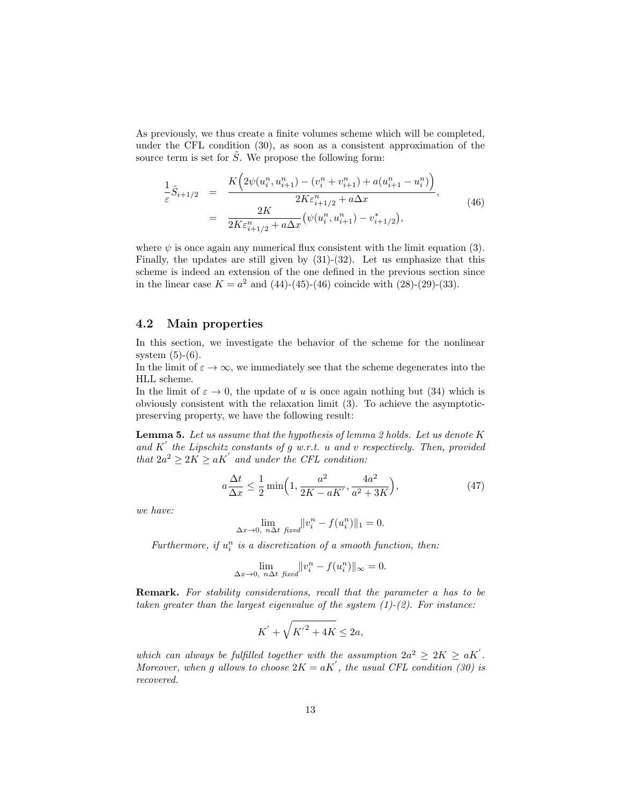As previously, we thus create a finite volumes scheme which will be completed, under the CFL condition (30), as soon as a consistent approximation of the source term is set for  $\tilde{S}$ . We propose the following form:

$$
\frac{1}{\varepsilon}\tilde{S}_{i+1/2} = \frac{K\left(2\psi(u_i^n, u_{i+1}^n) - (v_i^n + v_{i+1}^n) + a(u_{i+1}^n - u_i^n)\right)}{2K\varepsilon_{i+1/2}^n + a\Delta x},
$$
\n
$$
= \frac{2K}{2K\varepsilon_{i+1/2}^n + a\Delta x} \left(\psi(u_i^n, u_{i+1}^n) - v_{i+1/2}^*\right),
$$
\n(46)

where  $\psi$  is once again any numerical flux consistent with the limit equation (3). Finally, the updates are still given by  $(31)-(32)$ . Let us emphasize that this scheme is indeed an extension of the one defined in the previous section since in the linear case  $K = a^2$  and  $(44)-(45)-(46)$  coincide with  $(28)-(29)-(33)$ .

### 4.2 Main properties

In this section, we investigate the behavior of the scheme for the nonlinear system  $(5)-(6)$ .

In the limit of  $\varepsilon \to \infty$ , we immediately see that the scheme degenerates into the HLL scheme.

In the limit of  $\varepsilon \to 0$ , the update of u is once again nothing but (34) which is obviously consistent with the relaxation limit (3). To achieve the asymptoticpreserving property, we have the following result:

Lemma 5. Let us assume that the hypothesis of lemma 2 holds. Let us denote  $K$ and  $K'$  the Lipschitz constants of g w.r.t. u and v respectively. Then, provided that  $2a^2 \geq 2K \geq aK'$  and under the CFL condition:

$$
a\frac{\Delta t}{\Delta x} \le \frac{1}{2} \min\left(1, \frac{a^2}{2K - aK'}, \frac{4a^2}{a^2 + 3K}\right),\tag{47}
$$

we have:

$$
\lim_{\Delta x \to 0, n \Delta t \text{ fixed}} ||v_i^n - f(u_i^n)||_1 = 0.
$$

Furthermore, if  $u_i^n$  is a discretization of a smooth function, then:

$$
\lim_{\Delta x \to 0, n\Delta t \text{ fixed}} ||v_i^n - f(u_i^n)||_{\infty} = 0.
$$

Remark. For stability considerations, recall that the parameter a has to be taken greater than the largest eigenvalue of the system  $(1)-(2)$ . For instance:

$$
K^{'}+\sqrt{{K^{'}}^2+4K}\leq 2a,
$$

which can always be fulfilled together with the assumption  $2a^2 \ge 2K \ge aK'$ . Moreover, when g allows to choose  $2K = aK'$ , the usual CFL condition (30) is recovered.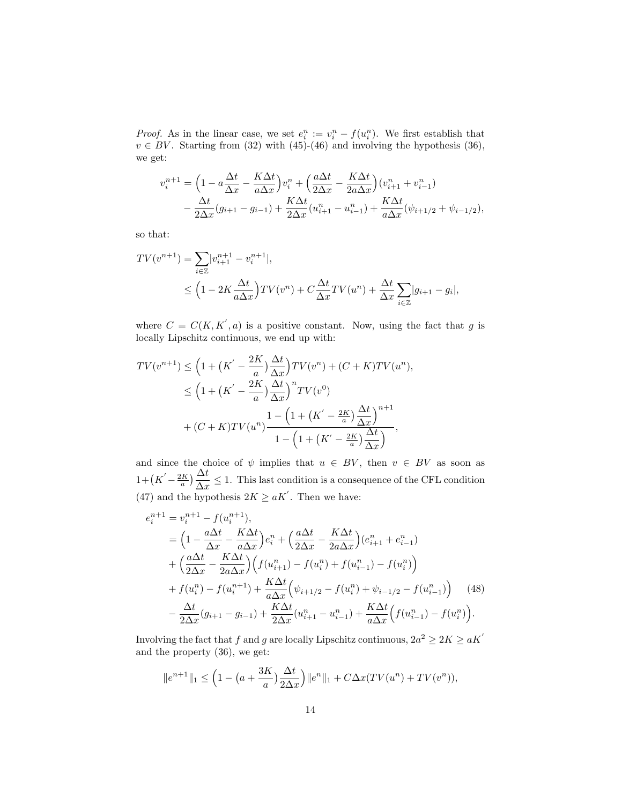*Proof.* As in the linear case, we set  $e_i^n := v_i^n - f(u_i^n)$ . We first establish that  $v \in BV$ . Starting from (32) with (45)-(46) and involving the hypothesis (36), we get:

$$
v_i^{n+1} = \left(1 - a\frac{\Delta t}{\Delta x} - \frac{K\Delta t}{a\Delta x}\right)v_i^{n} + \left(\frac{a\Delta t}{2\Delta x} - \frac{K\Delta t}{2a\Delta x}\right)(v_{i+1}^{n} + v_{i-1}^{n})
$$

$$
- \frac{\Delta t}{2\Delta x}(g_{i+1} - g_{i-1}) + \frac{K\Delta t}{2\Delta x}(u_{i+1}^{n} - u_{i-1}^{n}) + \frac{K\Delta t}{a\Delta x}(\psi_{i+1/2} + \psi_{i-1/2}),
$$

so that:

$$
TV(v^{n+1}) = \sum_{i \in \mathbb{Z}} |v_{i+1}^{n+1} - v_i^{n+1}|,
$$
  
\n
$$
\leq \left(1 - 2K \frac{\Delta t}{a \Delta x}\right) TV(v^n) + C \frac{\Delta t}{\Delta x} TV(u^n) + \frac{\Delta t}{\Delta x} \sum_{i \in \mathbb{Z}} |g_{i+1} - g_i|,
$$

where  $C = C(K, K', a)$  is a positive constant. Now, using the fact that g is locally Lipschitz continuous, we end up with:

$$
TV(v^{n+1}) \le \left(1 + \left(K' - \frac{2K}{a}\right) \frac{\Delta t}{\Delta x}\right) TV(v^n) + (C + K)TV(u^n),
$$
  

$$
\le \left(1 + \left(K' - \frac{2K}{a}\right) \frac{\Delta t}{\Delta x}\right)^n TV(v^0)
$$
  

$$
+ \left(C + K\right)TV(u^n) \frac{1 - \left(1 + \left(K' - \frac{2K}{a}\right) \frac{\Delta t}{\Delta x}\right)^{n+1}}{1 - \left(1 + \left(K' - \frac{2K}{a}\right) \frac{\Delta t}{\Delta x}\right)},
$$

and since the choice of  $\psi$  implies that  $u \in BV$ , then  $v \in BV$  as soon as  $1 + (K' - \frac{2K}{a}) \frac{\Delta t}{\Delta x} \leq 1$ . This last condition is a consequence of the CFL condition (47) and the hypothesis  $2K \ge aK'$ . Then we have:

$$
e_{i}^{n+1} = v_{i}^{n+1} - f(u_{i}^{n+1}),
$$
\n
$$
= \left(1 - \frac{a\Delta t}{\Delta x} - \frac{K\Delta t}{a\Delta x}\right)e_{i}^{n} + \left(\frac{a\Delta t}{2\Delta x} - \frac{K\Delta t}{2a\Delta x}\right)(e_{i+1}^{n} + e_{i-1}^{n})
$$
\n
$$
+ \left(\frac{a\Delta t}{2\Delta x} - \frac{K\Delta t}{2a\Delta x}\right)\left(f(u_{i+1}^{n}) - f(u_{i}^{n}) + f(u_{i-1}^{n}) - f(u_{i}^{n})\right)
$$
\n
$$
+ f(u_{i}^{n}) - f(u_{i}^{n+1}) + \frac{K\Delta t}{a\Delta x}\left(\psi_{i+1/2} - f(u_{i}^{n}) + \psi_{i-1/2} - f(u_{i-1}^{n})\right) \quad (48)
$$
\n
$$
- \frac{\Delta t}{2\Delta x}(g_{i+1} - g_{i-1}) + \frac{K\Delta t}{2\Delta x}(u_{i+1}^{n} - u_{i-1}^{n}) + \frac{K\Delta t}{a\Delta x}\left(f(u_{i-1}^{n}) - f(u_{i}^{n})\right).
$$

Involving the fact that f and g are locally Lipschitz continuous,  $2a^2 \ge 2K \ge aK'$ and the property (36), we get:

$$
||e^{n+1}||_1 \le \left(1 - \left(a + \frac{3K}{a}\right) \frac{\Delta t}{2\Delta x}\right) ||e^n||_1 + C\Delta x (TV(u^n) + TV(v^n)),
$$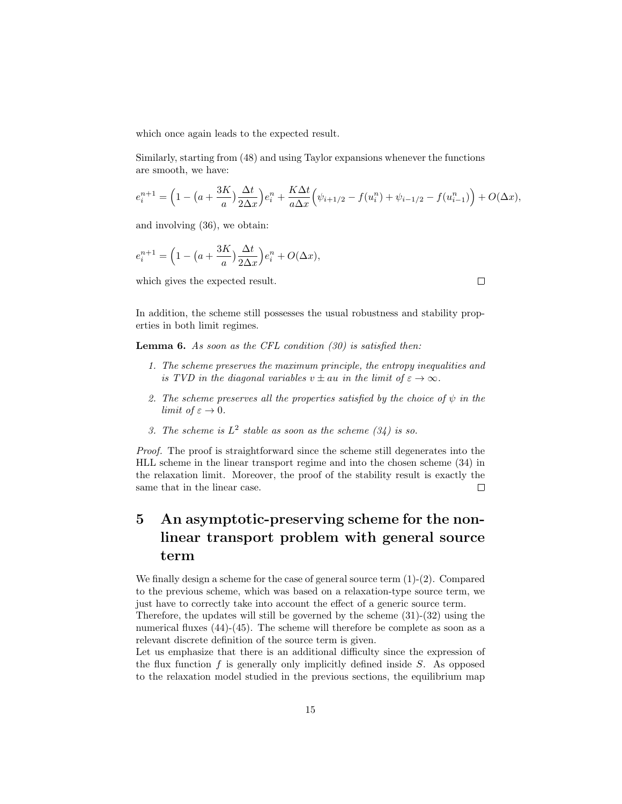which once again leads to the expected result.

Similarly, starting from (48) and using Taylor expansions whenever the functions are smooth, we have:

$$
e_i^{n+1} = \left(1 - \left(a + \frac{3K}{a}\right) \frac{\Delta t}{2\Delta x}\right) e_i^n + \frac{K\Delta t}{a\Delta x} \left(\psi_{i+1/2} - f(u_i^n) + \psi_{i-1/2} - f(u_{i-1}^n)\right) + O(\Delta x),
$$

and involving (36), we obtain:

$$
e_i^{n+1} = \left(1 - \left(a + \frac{3K}{a}\right) \frac{\Delta t}{2\Delta x}\right) e_i^n + O(\Delta x),
$$

which gives the expected result.

In addition, the scheme still possesses the usual robustness and stability properties in both limit regimes.

**Lemma 6.** As soon as the CFL condition  $(30)$  is satisfied then:

- 1. The scheme preserves the maximum principle, the entropy inequalities and is TVD in the diagonal variables  $v \pm au$  in the limit of  $\varepsilon \to \infty$ .
- 2. The scheme preserves all the properties satisfied by the choice of  $\psi$  in the limit of  $\varepsilon \to 0$ .
- 3. The scheme is  $L^2$  stable as soon as the scheme  $(34)$  is so.

Proof. The proof is straightforward since the scheme still degenerates into the HLL scheme in the linear transport regime and into the chosen scheme (34) in the relaxation limit. Moreover, the proof of the stability result is exactly the same that in the linear case.  $\Box$ 

# 5 An asymptotic-preserving scheme for the nonlinear transport problem with general source term

We finally design a scheme for the case of general source term  $(1)-(2)$ . Compared to the previous scheme, which was based on a relaxation-type source term, we just have to correctly take into account the effect of a generic source term.

Therefore, the updates will still be governed by the scheme  $(31)-(32)$  using the numerical fluxes (44)-(45). The scheme will therefore be complete as soon as a relevant discrete definition of the source term is given.

Let us emphasize that there is an additional difficulty since the expression of the flux function  $f$  is generally only implicitly defined inside  $S$ . As opposed to the relaxation model studied in the previous sections, the equilibrium map

 $\Box$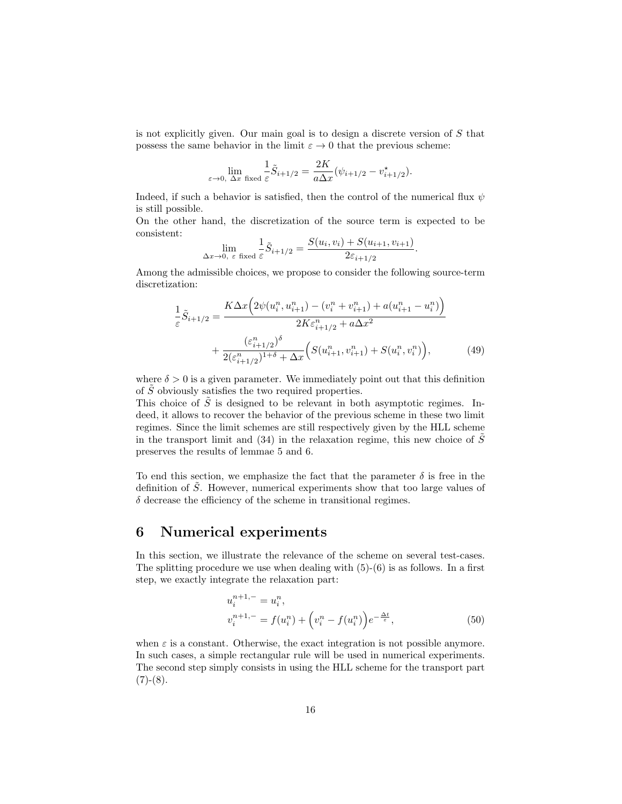is not explicitly given. Our main goal is to design a discrete version of  $S$  that possess the same behavior in the limit  $\varepsilon \to 0$  that the previous scheme:

$$
\lim_{\varepsilon \to 0, \Delta x \text{ fixed } \varepsilon} \frac{1}{\varepsilon} \tilde{S}_{i+1/2} = \frac{2K}{a\Delta x} (\psi_{i+1/2} - v_{i+1/2}^{\star}).
$$

Indeed, if such a behavior is satisfied, then the control of the numerical flux  $\psi$ is still possible.

On the other hand, the discretization of the source term is expected to be consistent:

$$
\lim_{\Delta x \to 0, \ \varepsilon \text{ fixed}} \frac{1}{\varepsilon} \tilde{S}_{i+1/2} = \frac{S(u_i, v_i) + S(u_{i+1}, v_{i+1})}{2\varepsilon_{i+1/2}}.
$$

Among the admissible choices, we propose to consider the following source-term discretization:

$$
\frac{1}{\varepsilon}\tilde{S}_{i+1/2} = \frac{K\Delta x \Big(2\psi(u_i^n, u_{i+1}^n) - (v_i^n + v_{i+1}^n) + a(u_{i+1}^n - u_i^n)\Big)}{2K\varepsilon_{i+1/2}^n + a\Delta x^2} + \frac{(\varepsilon_{i+1/2}^n)^\delta}{2(\varepsilon_{i+1/2}^n)^{1+\delta} + \Delta x} \Big(S(u_{i+1}^n, v_{i+1}^n) + S(u_i^n, v_i^n)\Big),\tag{49}
$$

where  $\delta > 0$  is a given parameter. We immediately point out that this definition of  $\tilde{S}$  obviously satisfies the two required properties.

This choice of  $\tilde{S}$  is designed to be relevant in both asymptotic regimes. Indeed, it allows to recover the behavior of the previous scheme in these two limit regimes. Since the limit schemes are still respectively given by the HLL scheme in the transport limit and (34) in the relaxation regime, this new choice of  $\tilde{S}$ preserves the results of lemmae 5 and 6.

To end this section, we emphasize the fact that the parameter  $\delta$  is free in the definition of  $\tilde{S}$ . However, numerical experiments show that too large values of  $\delta$  decrease the efficiency of the scheme in transitional regimes.

### 6 Numerical experiments

In this section, we illustrate the relevance of the scheme on several test-cases. The splitting procedure we use when dealing with  $(5)-(6)$  is as follows. In a first step, we exactly integrate the relaxation part:

$$
u_i^{n+1,-} = u_i^n,
$$
  
\n
$$
v_i^{n+1,-} = f(u_i^n) + \left(v_i^n - f(u_i^n)\right) e^{-\frac{\Delta t}{\varepsilon}},
$$
\n(50)

when  $\varepsilon$  is a constant. Otherwise, the exact integration is not possible anymore. In such cases, a simple rectangular rule will be used in numerical experiments. The second step simply consists in using the HLL scheme for the transport part  $(7)-(8).$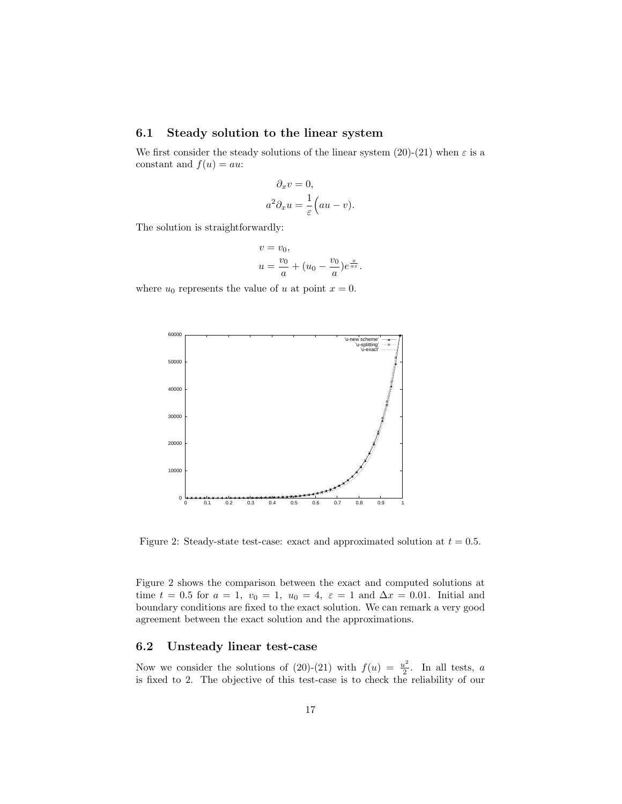### 6.1 Steady solution to the linear system

We first consider the steady solutions of the linear system  $(20)-(21)$  when  $\varepsilon$  is a constant and  $f(u) = au$ :

$$
\partial_x v = 0,
$$
  

$$
a^2 \partial_x u = \frac{1}{\varepsilon} \Big( au - v \Big).
$$

The solution is straightforwardly:

$$
v = v_0,
$$
  

$$
u = \frac{v_0}{a} + (u_0 - \frac{v_0}{a})e^{\frac{x}{a\varepsilon}}.
$$

where  $u_0$  represents the value of u at point  $x = 0$ .



Figure 2: Steady-state test-case: exact and approximated solution at  $t = 0.5$ .

Figure 2 shows the comparison between the exact and computed solutions at time  $t = 0.5$  for  $a = 1$ ,  $v_0 = 1$ ,  $u_0 = 4$ ,  $\varepsilon = 1$  and  $\Delta x = 0.01$ . Initial and boundary conditions are fixed to the exact solution. We can remark a very good agreement between the exact solution and the approximations.

### 6.2 Unsteady linear test-case

Now we consider the solutions of (20)-(21) with  $f(u) = \frac{u^2}{2}$  $\frac{1}{2}$ . In all tests, a is fixed to 2. The objective of this test-case is to check the reliability of our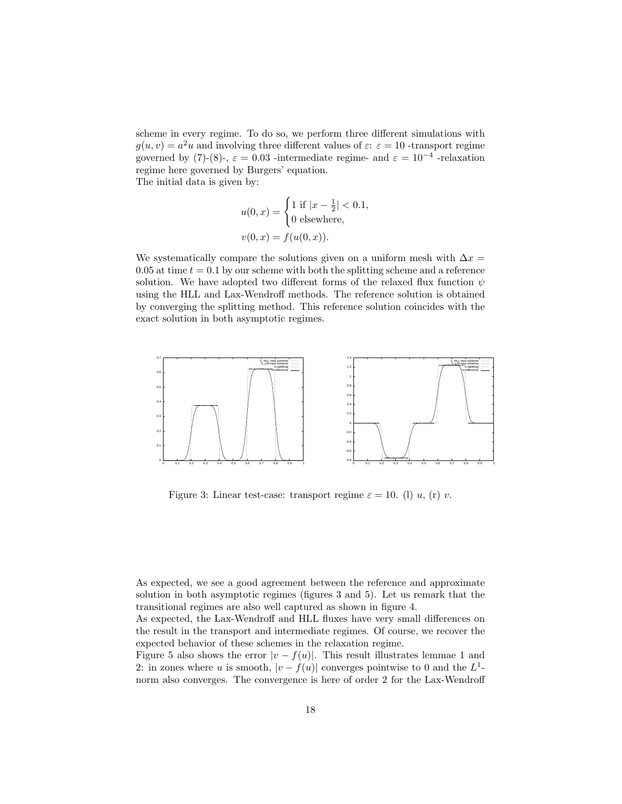scheme in every regime. To do so, we perform three different simulations with  $g(u, v) = a<sup>2</sup>u$  and involving three different values of  $\varepsilon$ :  $\varepsilon = 10$ -transport regime governed by (7)-(8)-,  $\varepsilon = 0.03$  -intermediate regime- and  $\varepsilon = 10^{-4}$  -relaxation regime here governed by Burgers' equation. The initial data is given by:

$$
u(0, x) = \begin{cases} 1 \text{ if } |x - \frac{1}{2}| < 0.1, \\ 0 \text{ elsewhere}, \end{cases}
$$
  

$$
v(0, x) = f(u(0, x)).
$$

We systematically compare the solutions given on a uniform mesh with  $\Delta x =$ 0.05 at time  $t = 0.1$  by our scheme with both the splitting scheme and a reference solution. We have adopted two different forms of the relaxed flux function  $\psi$ using the HLL and Lax-Wendroff methods. The reference solution is obtained by converging the splitting method. This reference solution coincides with the exact solution in both asymptotic regimes.



Figure 3: Linear test-case: transport regime  $\varepsilon = 10$ . (l) u, (r) v.

As expected, we see a good agreement between the reference and approximate solution in both asymptotic regimes (figures 3 and 5). Let us remark that the transitional regimes are also well captured as shown in figure 4.

As expected, the Lax-Wendroff and HLL fluxes have very small differences on the result in the transport and intermediate regimes. Of course, we recover the expected behavior of these schemes in the relaxation regime.

Figure 5 also shows the error  $|v - f(u)|$ . This result illustrates lemmae 1 and 2: in zones where u is smooth,  $|v - f(u)|$  converges pointwise to 0 and the  $L^1$ norm also converges. The convergence is here of order 2 for the Lax-Wendroff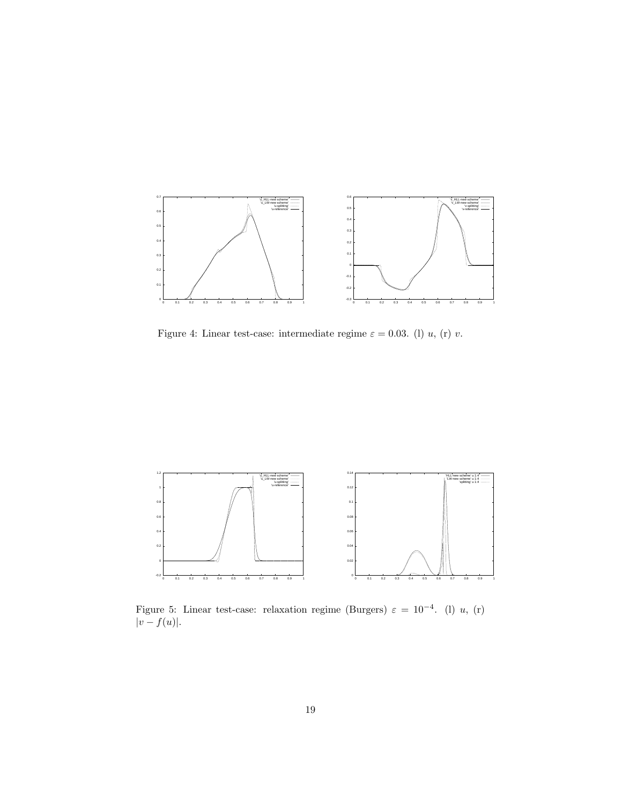

Figure 4: Linear test-case: intermediate regime  $\varepsilon = 0.03$ . (l) u, (r) v.



Figure 5: Linear test-case: relaxation regime (Burgers)  $\varepsilon = 10^{-4}$ . (1) u, (r)  $|v - f(u)|$ .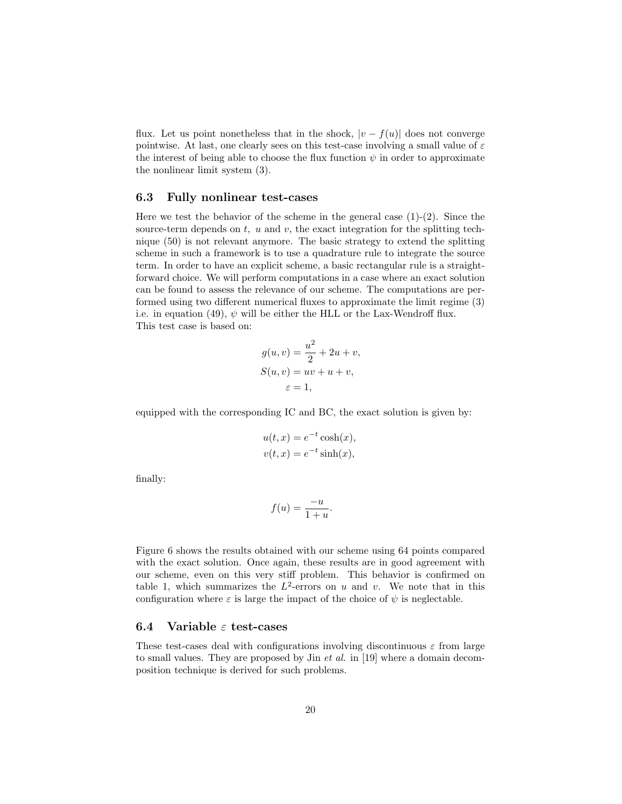flux. Let us point nonetheless that in the shock,  $|v - f(u)|$  does not converge pointwise. At last, one clearly sees on this test-case involving a small value of  $\varepsilon$ the interest of being able to choose the flux function  $\psi$  in order to approximate the nonlinear limit system (3).

#### 6.3 Fully nonlinear test-cases

Here we test the behavior of the scheme in the general case  $(1)-(2)$ . Since the source-term depends on  $t$ ,  $u$  and  $v$ , the exact integration for the splitting technique (50) is not relevant anymore. The basic strategy to extend the splitting scheme in such a framework is to use a quadrature rule to integrate the source term. In order to have an explicit scheme, a basic rectangular rule is a straightforward choice. We will perform computations in a case where an exact solution can be found to assess the relevance of our scheme. The computations are performed using two different numerical fluxes to approximate the limit regime (3) i.e. in equation (49),  $\psi$  will be either the HLL or the Lax-Wendroff flux. This test case is based on:

$$
g(u, v) = \frac{u^2}{2} + 2u + v,
$$
  
\n
$$
S(u, v) = uv + u + v,
$$
  
\n
$$
\varepsilon = 1,
$$

equipped with the corresponding IC and BC, the exact solution is given by:

$$
u(t, x) = e^{-t} \cosh(x),
$$
  

$$
v(t, x) = e^{-t} \sinh(x),
$$

finally:

$$
f(u) = \frac{-u}{1+u}.
$$

Figure 6 shows the results obtained with our scheme using 64 points compared with the exact solution. Once again, these results are in good agreement with our scheme, even on this very stiff problem. This behavior is confirmed on table 1, which summarizes the  $L^2$ -errors on u and v. We note that in this configuration where  $\varepsilon$  is large the impact of the choice of  $\psi$  is neglectable.

### 6.4 Variable  $\varepsilon$  test-cases

These test-cases deal with configurations involving discontinuous  $\varepsilon$  from large to small values. They are proposed by Jin et al. in [19] where a domain decomposition technique is derived for such problems.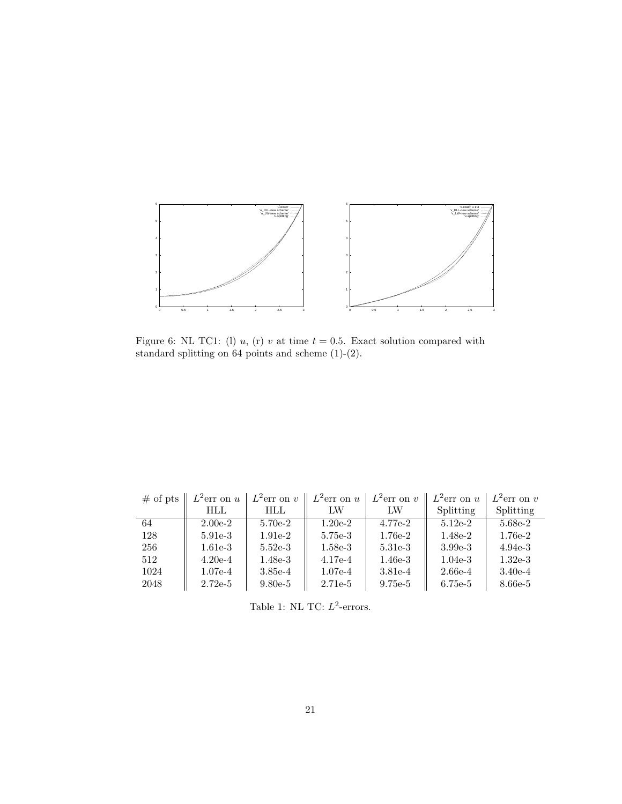

Figure 6: NL TC1: (1) u, (r) v at time  $t = 0.5$ . Exact solution compared with standard splitting on points and scheme (1)-(2).

| $#$ of pts | $L^2$ err on u | $L^2$ err on v | $L^2$ err on u | $L^2$ err on v | $L^2$ err on u | $L^2$ err on v |
|------------|----------------|----------------|----------------|----------------|----------------|----------------|
|            | HLL            | HLL            | LW             | LW             | Splitting      | Splitting      |
| 64         | $2.00e-2$      | $5.70e-2$      | $1.20e-2$      | $4.77e-2$      | $5.12e-2$      | 5.68e-2        |
| 128        | $5.91e-3$      | $1.91e-2$      | 5.75e-3        | $1.76e-2$      | $1.48e-2$      | 1.76e-2        |
| 256        | $1.61e-3$      | $5.52e-3$      | $1.58e-3$      | $5.31e-3$      | $3.99e-3$      | $4.94e-3$      |
| 512        | $4.20e-4$      | $1.48e-3$      | $4.17e-4$      | $1.46e-3$      | $1.04e-3$      | $1.32e-3$      |
| 1024       | $1.07e-4$      | $3.85e-4$      | $1.07e-4$      | $3.81e-4$      | $2.66e-4$      | $3.40e-4$      |
| 2048       | $2.72e-5$      | $9.80e-5$      | $2.71e-5$      | $9.75e-5$      | 6.75e-5        | 8.66e-5        |

Table 1: NL TC:  $L^2$ -errors.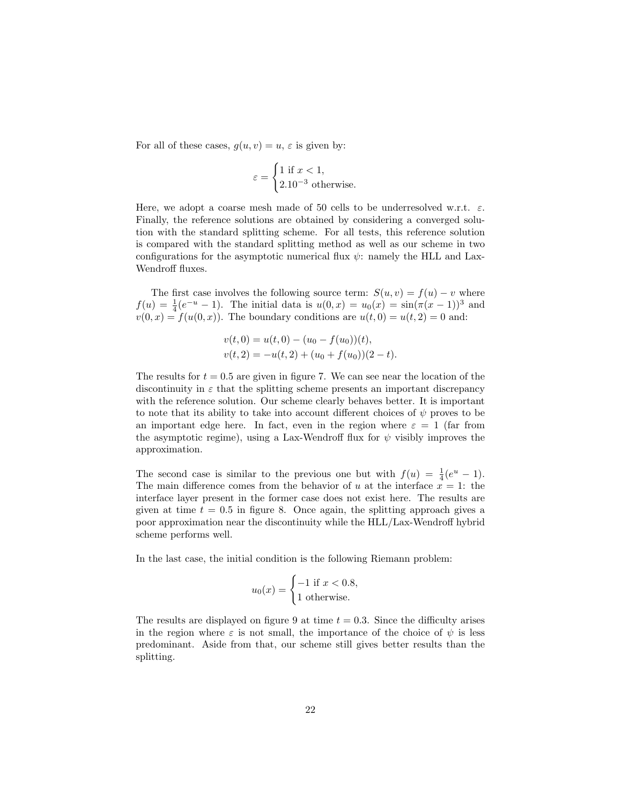For all of these cases,  $g(u, v) = u$ ,  $\varepsilon$  is given by:

$$
\varepsilon = \begin{cases} 1 \text{ if } x < 1, \\ 2.10^{-3} \text{ otherwise.} \end{cases}
$$

Here, we adopt a coarse mesh made of 50 cells to be underresolved w.r.t.  $\varepsilon$ . Finally, the reference solutions are obtained by considering a converged solution with the standard splitting scheme. For all tests, this reference solution is compared with the standard splitting method as well as our scheme in two configurations for the asymptotic numerical flux  $\psi$ : namely the HLL and Lax-Wendroff fluxes.

The first case involves the following source term:  $S(u, v) = f(u) - v$  where  $f(u) = \frac{1}{4}(e^{-u} - 1)$ . The initial data is  $u(0, x) = u_0(x) = \sin(\pi(x - 1))^3$  and  $v(0, x) = f(u(0, x))$ . The boundary conditions are  $u(t, 0) = u(t, 2) = 0$  and:

$$
v(t, 0) = u(t, 0) - (u_0 - f(u_0))(t),
$$
  

$$
v(t, 2) = -u(t, 2) + (u_0 + f(u_0))(2 - t).
$$

The results for  $t = 0.5$  are given in figure 7. We can see near the location of the discontinuity in  $\varepsilon$  that the splitting scheme presents an important discrepancy with the reference solution. Our scheme clearly behaves better. It is important to note that its ability to take into account different choices of  $\psi$  proves to be an important edge here. In fact, even in the region where  $\varepsilon = 1$  (far from the asymptotic regime), using a Lax-Wendroff flux for  $\psi$  visibly improves the approximation.

The second case is similar to the previous one but with  $f(u) = \frac{1}{4}(e^u - 1)$ . The main difference comes from the behavior of u at the interface  $x = 1$ : the interface layer present in the former case does not exist here. The results are given at time  $t = 0.5$  in figure 8. Once again, the splitting approach gives a poor approximation near the discontinuity while the HLL/Lax-Wendroff hybrid scheme performs well.

In the last case, the initial condition is the following Riemann problem:

$$
u_0(x) = \begin{cases} -1 \text{ if } x < 0.8, \\ 1 \text{ otherwise.} \end{cases}
$$

The results are displayed on figure 9 at time  $t = 0.3$ . Since the difficulty arises in the region where  $\varepsilon$  is not small, the importance of the choice of  $\psi$  is less predominant. Aside from that, our scheme still gives better results than the splitting.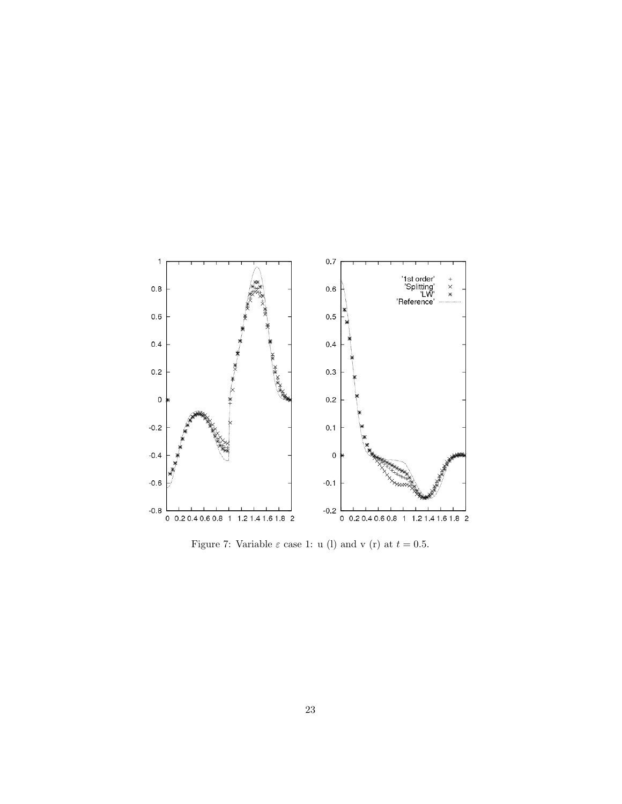

Figure 7: Variable  $\varepsilon$  case 1: u (l) and v (r) at  $t = 0.5$ .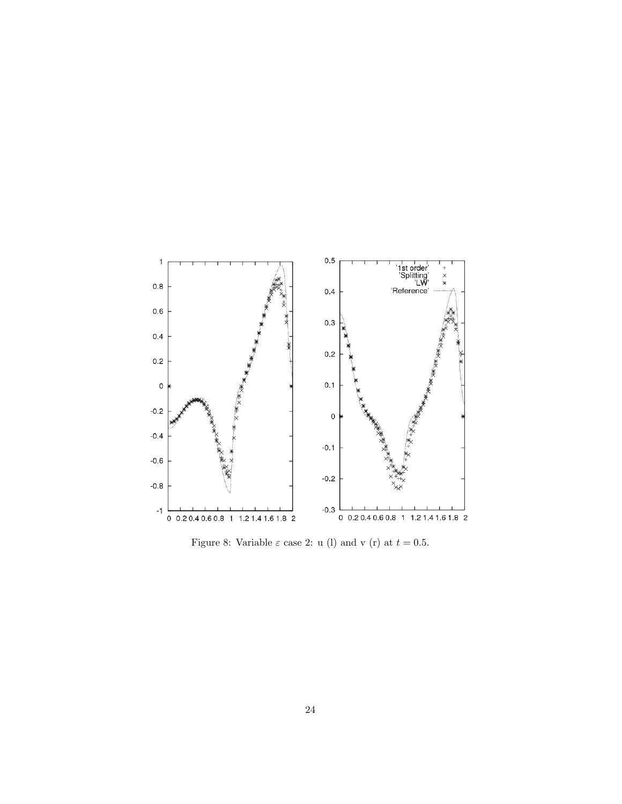

Figure 8: Variable  $\varepsilon$  case 2: u (l) and v (r) at  $t = 0.5$ .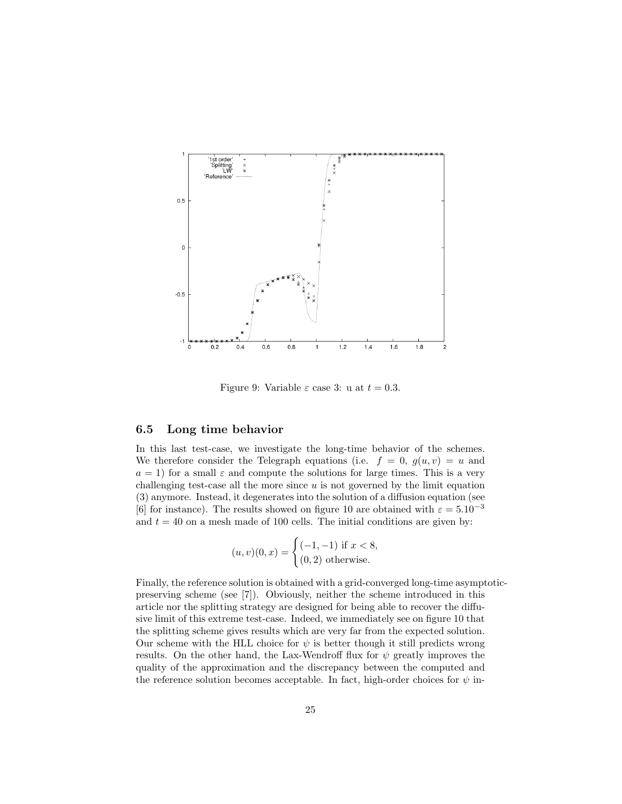

Figure 9: Variable  $\varepsilon$  case 3: u at  $t = 0.3$ .

### 6.5 Long time behavior

In this last test-case, we investigate the long-time behavior of the schemes. We therefore consider the Telegraph equations (i.e.  $f = 0$ ,  $g(u, v) = u$  and  $a = 1$ ) for a small  $\varepsilon$  and compute the solutions for large times. This is a very challenging test-case all the more since  $u$  is not governed by the limit equation (3) anymore. Instead, it degenerates into the solution of a diffusion equation (see [6] for instance). The results showed on figure 10 are obtained with  $\varepsilon = 5.10^{-3}$ and  $t = 40$  on a mesh made of 100 cells. The initial conditions are given by:

$$
(u, v)(0, x) = \begin{cases} (-1, -1) \text{ if } x < 8, \\ (0, 2) \text{ otherwise.} \end{cases}
$$

Finally, the reference solution is obtained with a grid-converged long-time asymptoticpreserving scheme (see [7]). Obviously, neither the scheme introduced in this article nor the splitting strategy are designed for being able to recover the diffusive limit of this extreme test-case. Indeed, we immediately see on figure 10 that the splitting scheme gives results which are very far from the expected solution. Our scheme with the HLL choice for  $\psi$  is better though it still predicts wrong results. On the other hand, the Lax-Wendroff flux for  $\psi$  greatly improves the quality of the approximation and the discrepancy between the computed and the reference solution becomes acceptable. In fact, high-order choices for  $\psi$  in-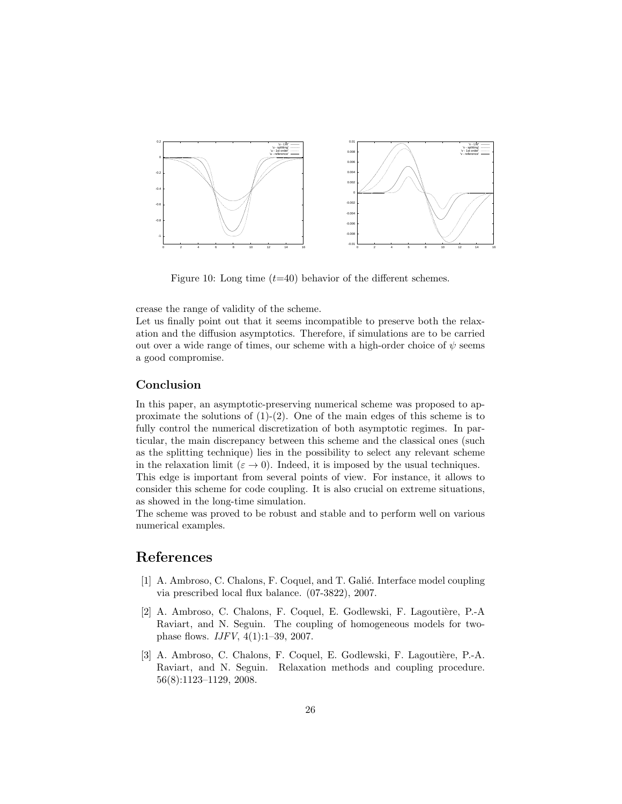

Figure 10: Long time  $(t=40)$  behavior of the different schemes.

crease the range of validity of the scheme.

Let us finally point out that it seems incompatible to preserve both the relaxation and the diffusion asymptotics. Therefore, if simulations are to be carried out over a wide range of times, our scheme with a high-order choice of  $\psi$  seems a good compromise.

#### Conclusion

In this paper, an asymptotic-preserving numerical scheme was proposed to approximate the solutions of  $(1)-(2)$ . One of the main edges of this scheme is to fully control the numerical discretization of both asymptotic regimes. In particular, the main discrepancy between this scheme and the classical ones (such as the splitting technique) lies in the possibility to select any relevant scheme in the relaxation limit ( $\varepsilon \to 0$ ). Indeed, it is imposed by the usual techniques. This edge is important from several points of view. For instance, it allows to consider this scheme for code coupling. It is also crucial on extreme situations, as showed in the long-time simulation.

The scheme was proved to be robust and stable and to perform well on various numerical examples.

### References

- [1] A. Ambroso, C. Chalons, F. Coquel, and T. Galié. Interface model coupling via prescribed local flux balance. (07-3822), 2007.
- [2] A. Ambroso, C. Chalons, F. Coquel, E. Godlewski, F. Lagoutière, P.-A Raviart, and N. Seguin. The coupling of homogeneous models for twophase flows. IJFV, 4(1):1–39, 2007.
- [3] A. Ambroso, C. Chalons, F. Coquel, E. Godlewski, F. Lagoutière, P.-A. Raviart, and N. Seguin. Relaxation methods and coupling procedure. 56(8):1123–1129, 2008.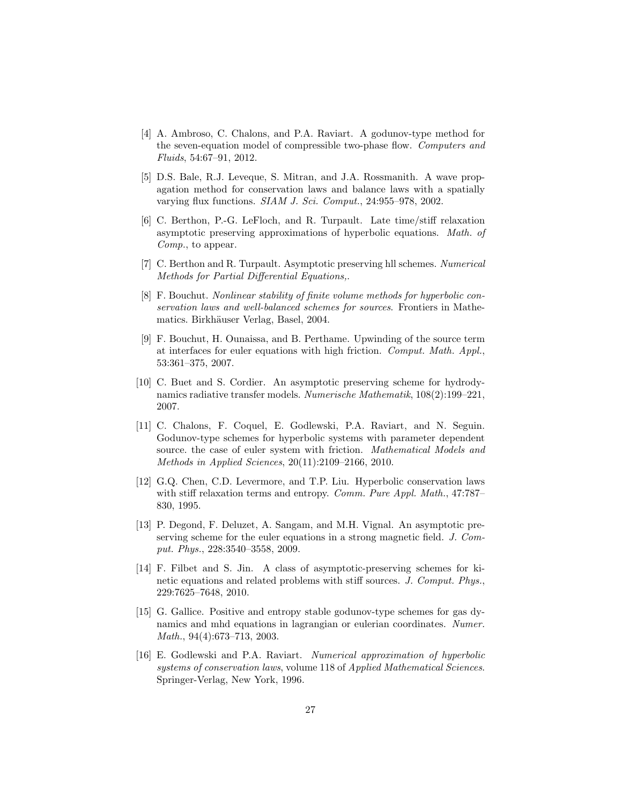- [4] A. Ambroso, C. Chalons, and P.A. Raviart. A godunov-type method for the seven-equation model of compressible two-phase flow. Computers and Fluids, 54:67–91, 2012.
- [5] D.S. Bale, R.J. Leveque, S. Mitran, and J.A. Rossmanith. A wave propagation method for conservation laws and balance laws with a spatially varying flux functions. SIAM J. Sci. Comput., 24:955–978, 2002.
- [6] C. Berthon, P.-G. LeFloch, and R. Turpault. Late time/stiff relaxation asymptotic preserving approximations of hyperbolic equations. Math. of Comp., to appear.
- [7] C. Berthon and R. Turpault. Asymptotic preserving hll schemes. Numerical Methods for Partial Differential Equations,.
- [8] F. Bouchut. Nonlinear stability of finite volume methods for hyperbolic conservation laws and well-balanced schemes for sources. Frontiers in Mathematics. Birkhäuser Verlag, Basel, 2004.
- [9] F. Bouchut, H. Ounaissa, and B. Perthame. Upwinding of the source term at interfaces for euler equations with high friction. Comput. Math. Appl., 53:361–375, 2007.
- [10] C. Buet and S. Cordier. An asymptotic preserving scheme for hydrodynamics radiative transfer models. Numerische Mathematik, 108(2):199–221, 2007.
- [11] C. Chalons, F. Coquel, E. Godlewski, P.A. Raviart, and N. Seguin. Godunov-type schemes for hyperbolic systems with parameter dependent source, the case of euler system with friction. *Mathematical Models and* Methods in Applied Sciences, 20(11):2109–2166, 2010.
- [12] G.Q. Chen, C.D. Levermore, and T.P. Liu. Hyperbolic conservation laws with stiff relaxation terms and entropy. Comm. Pure Appl. Math., 47:787– 830, 1995.
- [13] P. Degond, F. Deluzet, A. Sangam, and M.H. Vignal. An asymptotic preserving scheme for the euler equations in a strong magnetic field. J. Comput. Phys., 228:3540–3558, 2009.
- [14] F. Filbet and S. Jin. A class of asymptotic-preserving schemes for kinetic equations and related problems with stiff sources. J. Comput. Phys., 229:7625–7648, 2010.
- [15] G. Gallice. Positive and entropy stable godunov-type schemes for gas dynamics and mhd equations in lagrangian or eulerian coordinates. Numer. Math., 94(4):673–713, 2003.
- [16] E. Godlewski and P.A. Raviart. Numerical approximation of hyperbolic systems of conservation laws, volume 118 of Applied Mathematical Sciences. Springer-Verlag, New York, 1996.